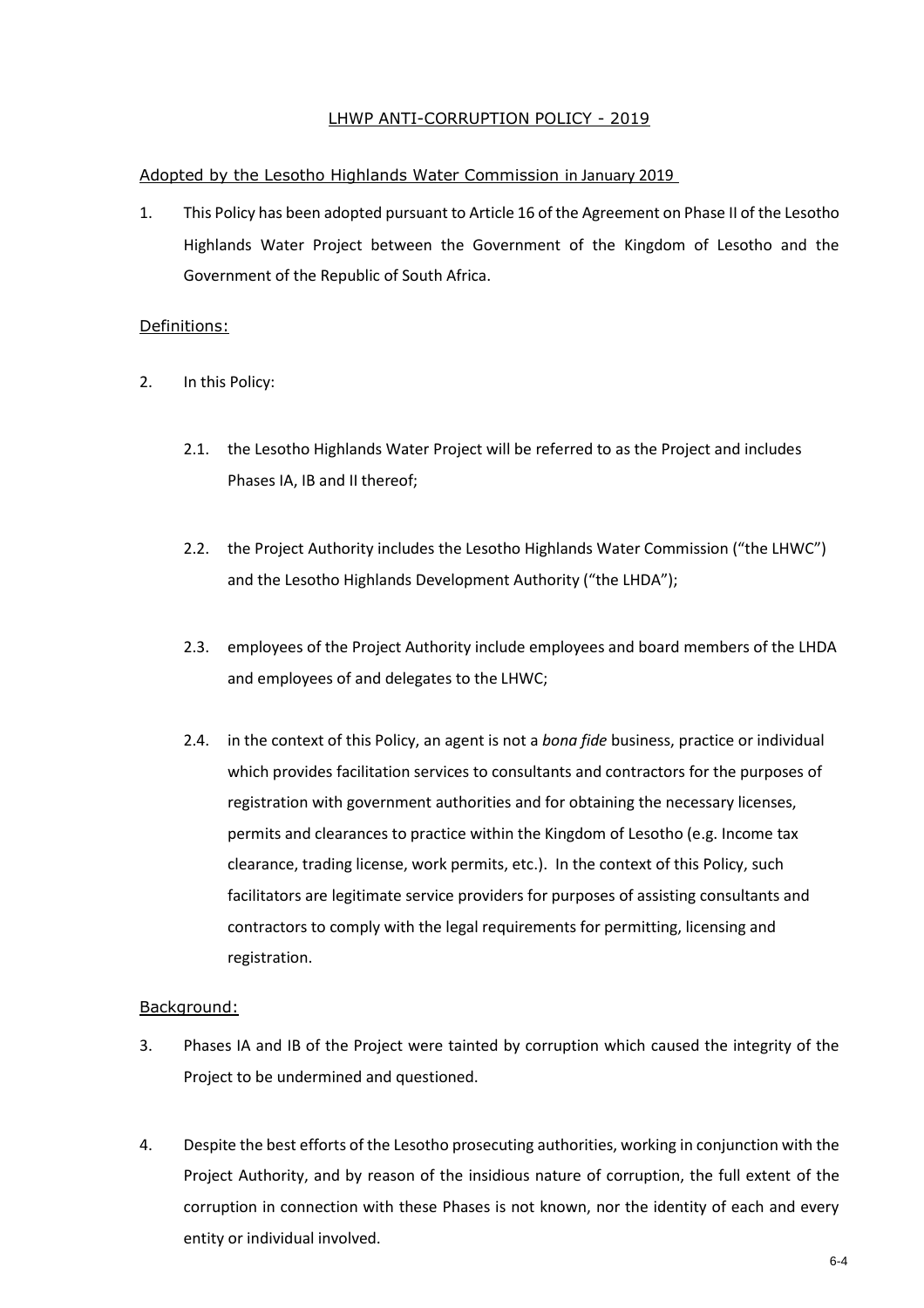# LHWP ANTI-CORRUPTION POLICY - 2019

## Adopted by the Lesotho Highlands Water Commission in January 2019

1. This Policy has been adopted pursuant to Article 16 of the Agreement on Phase II of the Lesotho Highlands Water Project between the Government of the Kingdom of Lesotho and the Government of the Republic of South Africa.

## Definitions:

- 2. In this Policy:
	- 2.1. the Lesotho Highlands Water Project will be referred to as the Project and includes Phases IA, IB and II thereof;
	- 2.2. the Project Authority includes the Lesotho Highlands Water Commission ("the LHWC") and the Lesotho Highlands Development Authority ("the LHDA");
	- 2.3. employees of the Project Authority include employees and board members of the LHDA and employees of and delegates to the LHWC;
	- 2.4. in the context of this Policy, an agent is not a *bona fide* business, practice or individual which provides facilitation services to consultants and contractors for the purposes of registration with government authorities and for obtaining the necessary licenses, permits and clearances to practice within the Kingdom of Lesotho (e.g. Income tax clearance, trading license, work permits, etc.). In the context of this Policy, such facilitators are legitimate service providers for purposes of assisting consultants and contractors to comply with the legal requirements for permitting, licensing and registration.

#### Background:

- 3. Phases IA and IB of the Project were tainted by corruption which caused the integrity of the Project to be undermined and questioned.
- 4. Despite the best efforts of the Lesotho prosecuting authorities, working in conjunction with the Project Authority, and by reason of the insidious nature of corruption, the full extent of the corruption in connection with these Phases is not known, nor the identity of each and every entity or individual involved.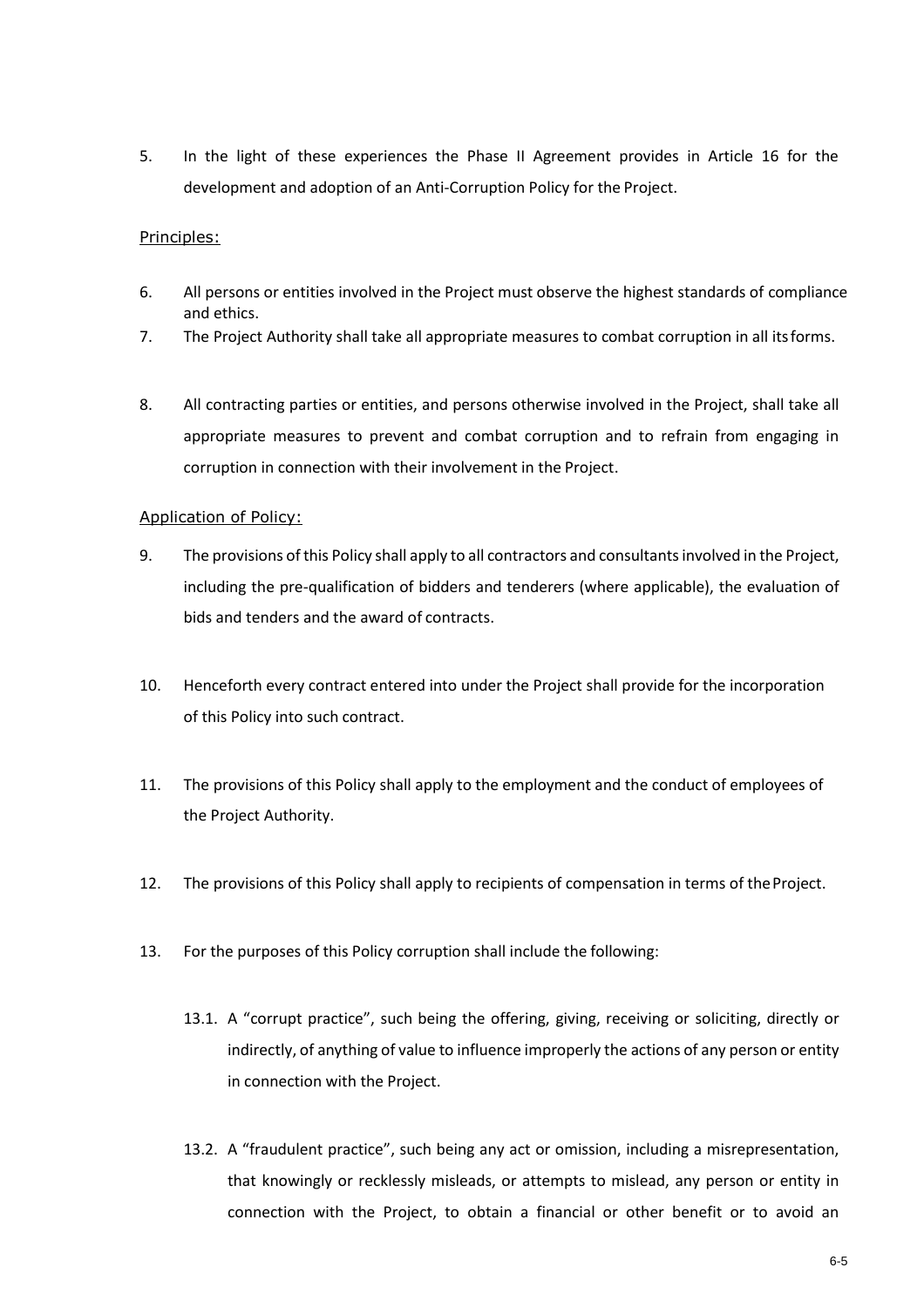5. In the light of these experiences the Phase II Agreement provides in Article 16 for the development and adoption of an Anti-Corruption Policy for the Project.

## Principles:

- 6. All persons or entities involved in the Project must observe the highest standards of compliance and ethics.
- 7. The Project Authority shall take all appropriate measures to combat corruption in all itsforms.
- 8. All contracting parties or entities, and persons otherwise involved in the Project, shall take all appropriate measures to prevent and combat corruption and to refrain from engaging in corruption in connection with their involvement in the Project.

## Application of Policy:

- 9. The provisions of this Policy shall apply to all contractors and consultants involved in the Project, including the pre-qualification of bidders and tenderers (where applicable), the evaluation of bids and tenders and the award of contracts.
- 10. Henceforth every contract entered into under the Project shall provide for the incorporation of this Policy into such contract.
- 11. The provisions of this Policy shall apply to the employment and the conduct of employees of the Project Authority.
- 12. The provisions of this Policy shall apply to recipients of compensation in terms of theProject.
- 13. For the purposes of this Policy corruption shall include the following:
	- 13.1. A "corrupt practice", such being the offering, giving, receiving or soliciting, directly or indirectly, of anything of value to influence improperly the actions of any person or entity in connection with the Project.
	- 13.2. A "fraudulent practice", such being any act or omission, including a misrepresentation, that knowingly or recklessly misleads, or attempts to mislead, any person or entity in connection with the Project, to obtain a financial or other benefit or to avoid an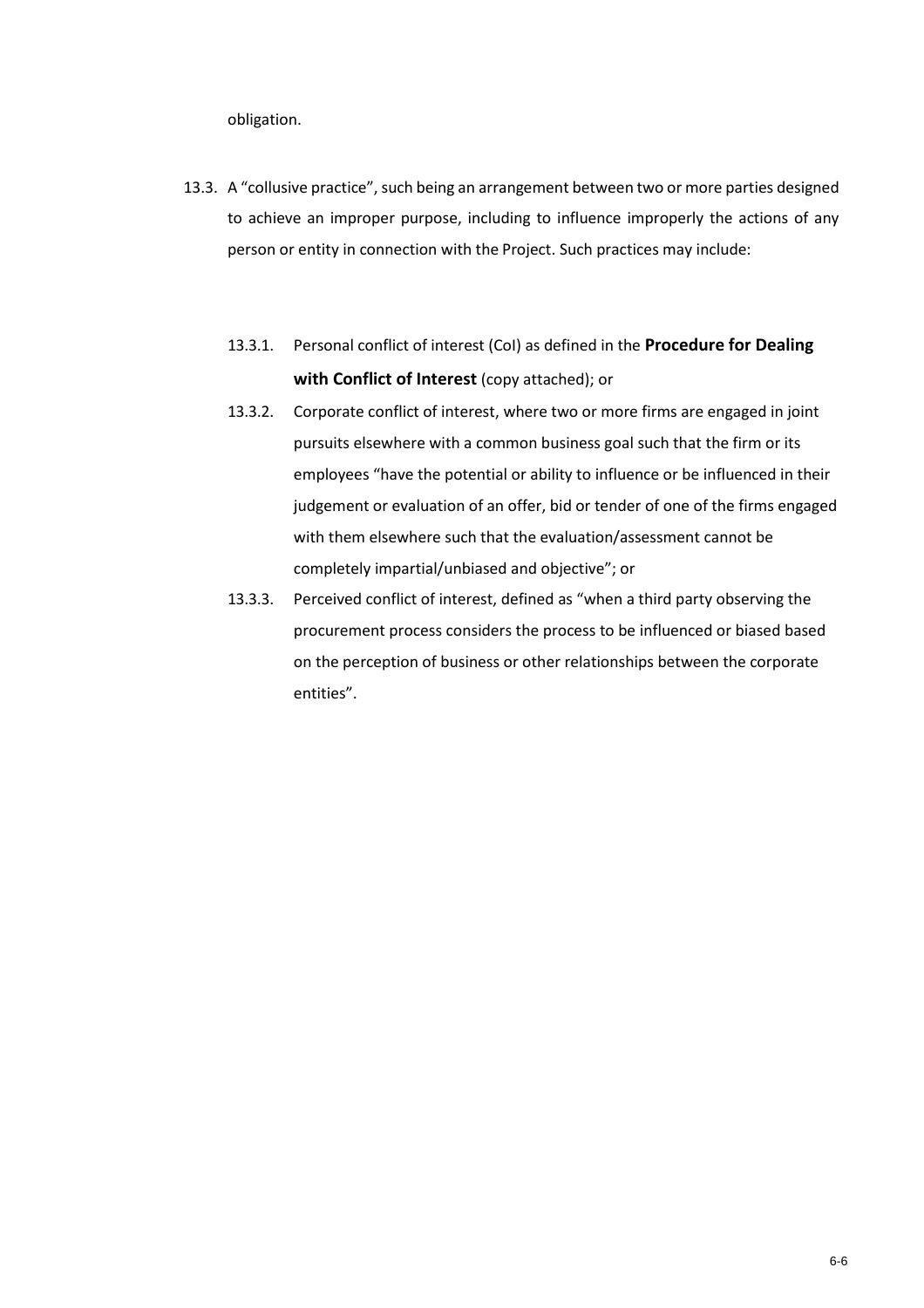obligation.

- 13.3. A "collusive practice", such being an arrangement between two or more parties designed to achieve an improper purpose, including to influence improperly the actions of any person or entity in connection with the Project. Such practices may include:
	- 13.3.1. Personal conflict of interest (CoI) as defined in the **Procedure for Dealing with Conflict of Interest** (copy attached); or
	- 13.3.2. Corporate conflict of interest, where two or more firms are engaged in joint pursuits elsewhere with a common business goal such that the firm or its employees "have the potential or ability to influence or be influenced in their judgement or evaluation of an offer, bid or tender of one of the firms engaged with them elsewhere such that the evaluation/assessment cannot be completely impartial/unbiased and objective"; or
	- 13.3.3. Perceived conflict of interest, defined as "when a third party observing the procurement process considers the process to be influenced or biased based on the perception of business or other relationships between the corporate entities".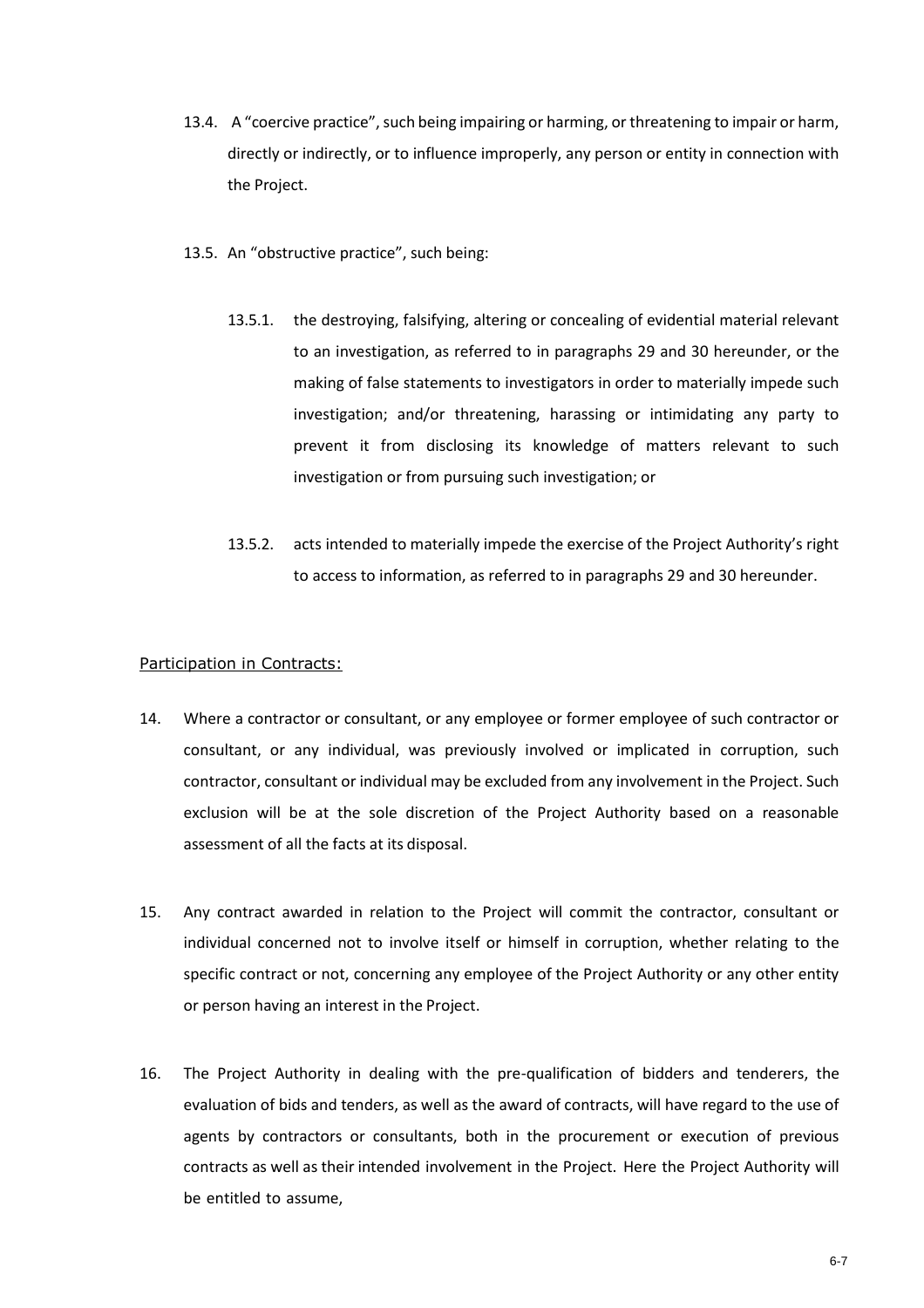- 13.4. A "coercive practice", such being impairing or harming, or threatening to impair or harm, directly or indirectly, or to influence improperly, any person or entity in connection with the Project.
- 13.5. An "obstructive practice", such being:
	- 13.5.1. the destroying, falsifying, altering or concealing of evidential material relevant to an investigation, as referred to in paragraphs 29 and 30 hereunder, or the making of false statements to investigators in order to materially impede such investigation; and/or threatening, harassing or intimidating any party to prevent it from disclosing its knowledge of matters relevant to such investigation or from pursuing such investigation; or
	- 13.5.2. acts intended to materially impede the exercise of the Project Authority's right to access to information, as referred to in paragraphs 29 and 30 hereunder.

#### Participation in Contracts:

- 14. Where a contractor or consultant, or any employee or former employee of such contractor or consultant, or any individual, was previously involved or implicated in corruption, such contractor, consultant or individual may be excluded from any involvement in the Project. Such exclusion will be at the sole discretion of the Project Authority based on a reasonable assessment of all the facts at its disposal.
- 15. Any contract awarded in relation to the Project will commit the contractor, consultant or individual concerned not to involve itself or himself in corruption, whether relating to the specific contract or not, concerning any employee of the Project Authority or any other entity or person having an interest in the Project.
- 16. The Project Authority in dealing with the pre-qualification of bidders and tenderers, the evaluation of bids and tenders, as well as the award of contracts, will have regard to the use of agents by contractors or consultants, both in the procurement or execution of previous contracts as well as their intended involvement in the Project. Here the Project Authority will be entitled to assume,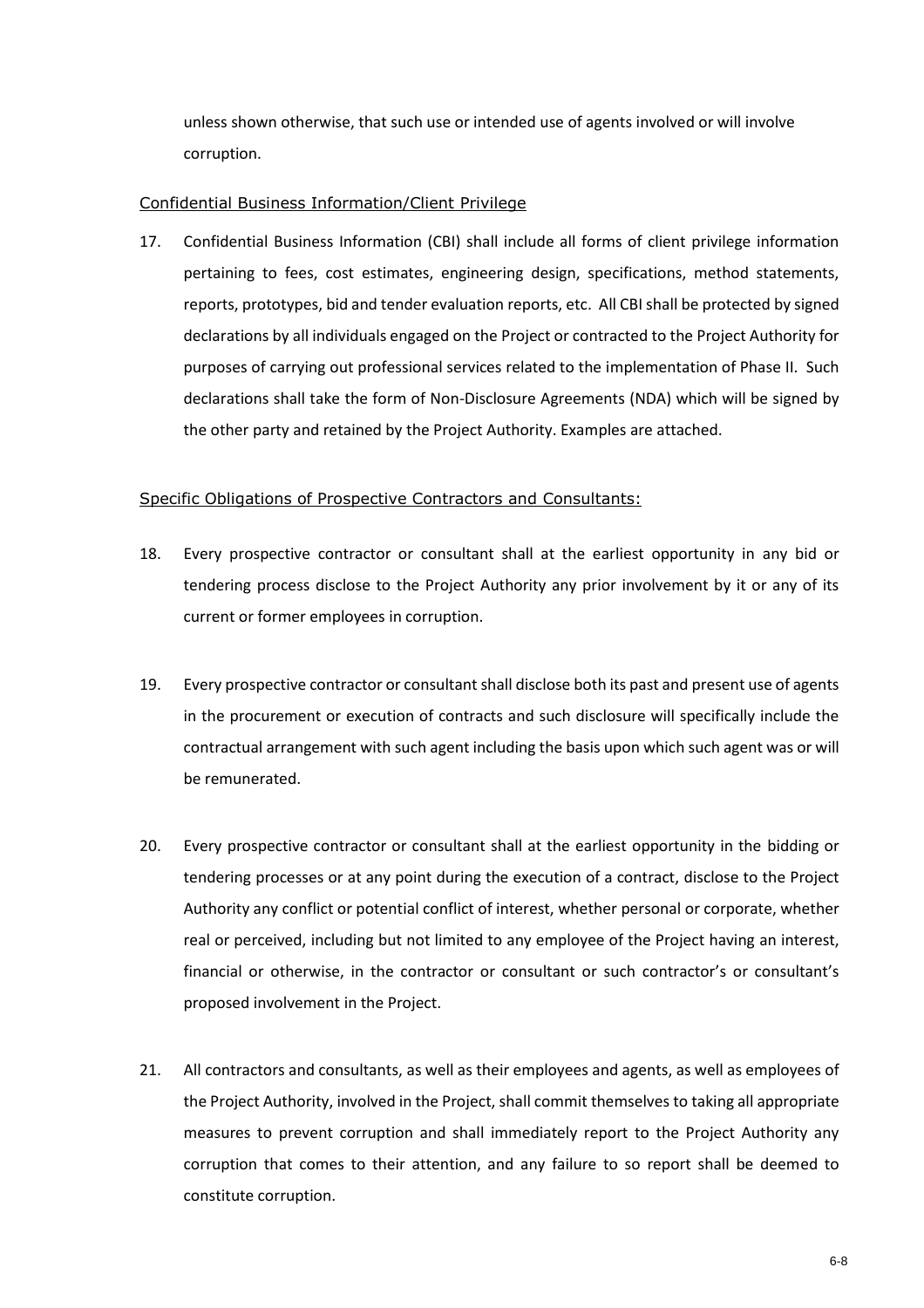unless shown otherwise, that such use or intended use of agents involved or will involve corruption.

## Confidential Business Information/Client Privilege

17. Confidential Business Information (CBI) shall include all forms of client privilege information pertaining to fees, cost estimates, engineering design, specifications, method statements, reports, prototypes, bid and tender evaluation reports, etc. All CBI shall be protected by signed declarations by all individuals engaged on the Project or contracted to the Project Authority for purposes of carrying out professional services related to the implementation of Phase II. Such declarations shall take the form of Non-Disclosure Agreements (NDA) which will be signed by the other party and retained by the Project Authority. Examples are attached.

## Specific Obligations of Prospective Contractors and Consultants:

- 18. Every prospective contractor or consultant shall at the earliest opportunity in any bid or tendering process disclose to the Project Authority any prior involvement by it or any of its current or former employees in corruption.
- 19. Every prospective contractor or consultant shall disclose both its past and present use of agents in the procurement or execution of contracts and such disclosure will specifically include the contractual arrangement with such agent including the basis upon which such agent was or will be remunerated.
- 20. Every prospective contractor or consultant shall at the earliest opportunity in the bidding or tendering processes or at any point during the execution of a contract, disclose to the Project Authority any conflict or potential conflict of interest, whether personal or corporate, whether real or perceived, including but not limited to any employee of the Project having an interest, financial or otherwise, in the contractor or consultant or such contractor's or consultant's proposed involvement in the Project.
- 21. All contractors and consultants, as well as their employees and agents, as well as employees of the Project Authority, involved in the Project, shall commit themselves to taking all appropriate measures to prevent corruption and shall immediately report to the Project Authority any corruption that comes to their attention, and any failure to so report shall be deemed to constitute corruption.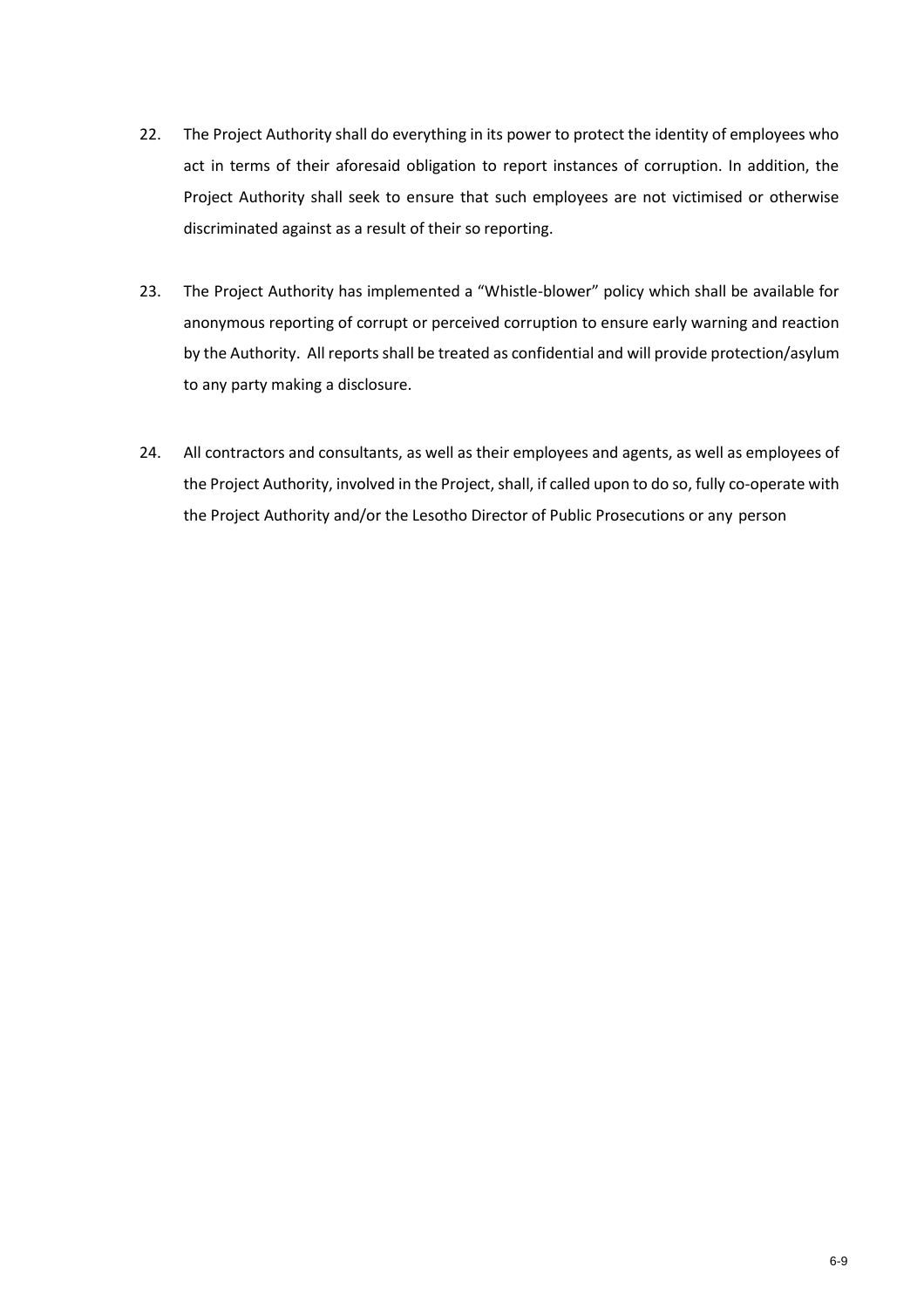- 22. The Project Authority shall do everything in its power to protect the identity of employees who act in terms of their aforesaid obligation to report instances of corruption. In addition, the Project Authority shall seek to ensure that such employees are not victimised or otherwise discriminated against as a result of their so reporting.
- 23. The Project Authority has implemented a "Whistle-blower" policy which shall be available for anonymous reporting of corrupt or perceived corruption to ensure early warning and reaction by the Authority. All reports shall be treated as confidential and will provide protection/asylum to any party making a disclosure.
- 24. All contractors and consultants, as well as their employees and agents, as well as employees of the Project Authority, involved in the Project, shall, if called upon to do so, fully co-operate with the Project Authority and/or the Lesotho Director of Public Prosecutions or any person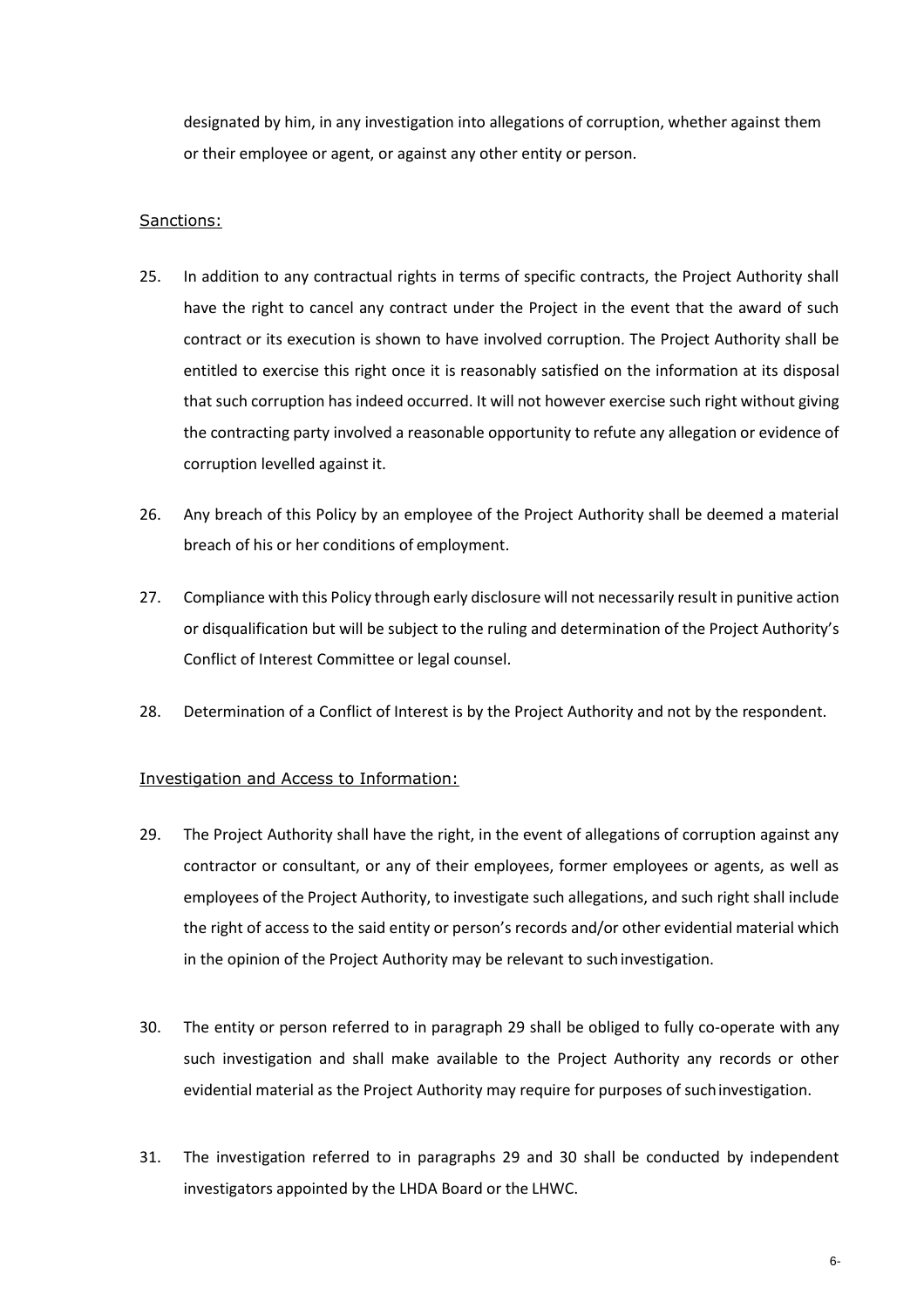designated by him, in any investigation into allegations of corruption, whether against them or their employee or agent, or against any other entity or person.

#### Sanctions:

- 25. In addition to any contractual rights in terms of specific contracts, the Project Authority shall have the right to cancel any contract under the Project in the event that the award of such contract or its execution is shown to have involved corruption. The Project Authority shall be entitled to exercise this right once it is reasonably satisfied on the information at its disposal that such corruption has indeed occurred. It will not however exercise such right without giving the contracting party involved a reasonable opportunity to refute any allegation or evidence of corruption levelled against it.
- 26. Any breach of this Policy by an employee of the Project Authority shall be deemed a material breach of his or her conditions of employment.
- 27. Compliance with this Policy through early disclosure will not necessarily result in punitive action or disqualification but will be subject to the ruling and determination of the Project Authority's Conflict of Interest Committee or legal counsel.
- 28. Determination of a Conflict of Interest is by the Project Authority and not by the respondent.

#### Investigation and Access to Information:

- 29. The Project Authority shall have the right, in the event of allegations of corruption against any contractor or consultant, or any of their employees, former employees or agents, as well as employees of the Project Authority, to investigate such allegations, and such right shall include the right of access to the said entity or person's records and/or other evidential material which in the opinion of the Project Authority may be relevant to suchinvestigation.
- 30. The entity or person referred to in paragraph 29 shall be obliged to fully co-operate with any such investigation and shall make available to the Project Authority any records or other evidential material as the Project Authority may require for purposes of suchinvestigation.
- 31. The investigation referred to in paragraphs 29 and 30 shall be conducted by independent investigators appointed by the LHDA Board or the LHWC.